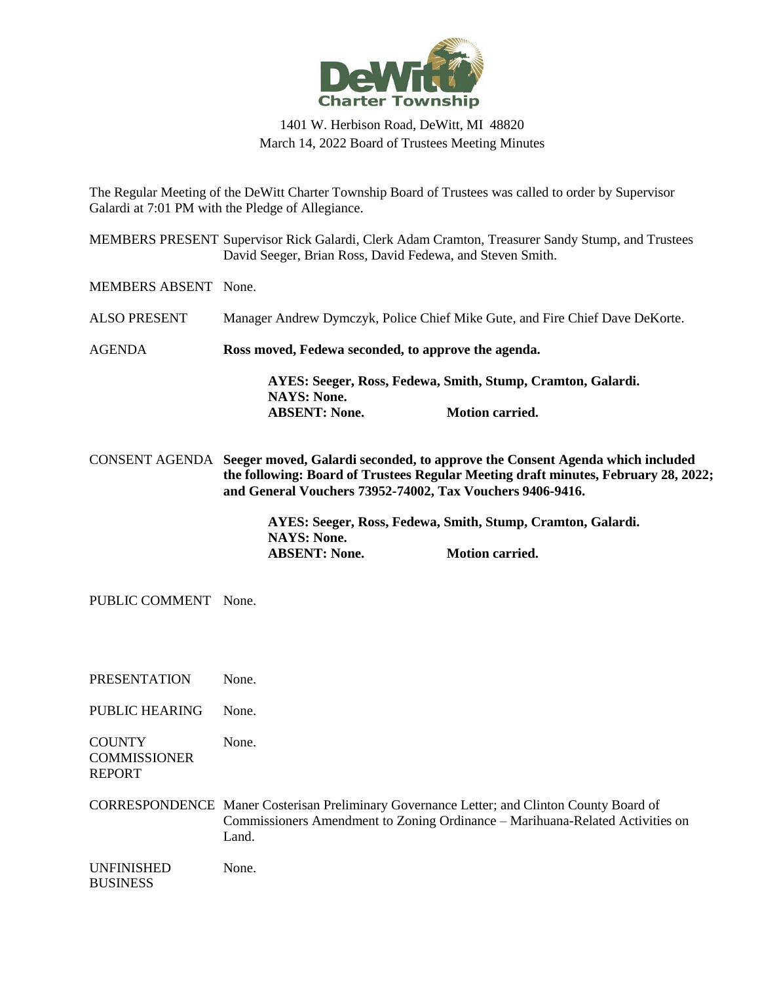

## 1401 W. Herbison Road, DeWitt, MI 48820 March 14, 2022 Board of Trustees Meeting Minutes

The Regular Meeting of the DeWitt Charter Township Board of Trustees was called to order by Supervisor Galardi at 7:01 PM with the Pledge of Allegiance.

MEMBERS PRESENT Supervisor Rick Galardi, Clerk Adam Cramton, Treasurer Sandy Stump, and Trustees David Seeger, Brian Ross, David Fedewa, and Steven Smith.

MEMBERS ABSENT None.

- ALSO PRESENT Manager Andrew Dymczyk, Police Chief Mike Gute, and Fire Chief Dave DeKorte.
- AGENDA **Ross moved, Fedewa seconded, to approve the agenda.**

**AYES: Seeger, Ross, Fedewa, Smith, Stump, Cramton, Galardi. NAYS: None. ABSENT: None. Motion carried.**

CONSENT AGENDA **Seeger moved, Galardi seconded, to approve the Consent Agenda which included the following: Board of Trustees Regular Meeting draft minutes, February 28, 2022; and General Vouchers 73952-74002, Tax Vouchers 9406-9416.**

> **AYES: Seeger, Ross, Fedewa, Smith, Stump, Cramton, Galardi. NAYS: None. ABSENT: None. Motion carried.**

PUBLIC COMMENT None.

PRESENTATION None.

PUBLIC HEARING None.

**COUNTY COMMISSIONER** REPORT None.

CORRESPONDENCE Maner Costerisan Preliminary Governance Letter; and Clinton County Board of Commissioners Amendment to Zoning Ordinance – Marihuana-Related Activities on Land.

| <b>UNFINISHED</b> | None. |
|-------------------|-------|
| <b>BUSINESS</b>   |       |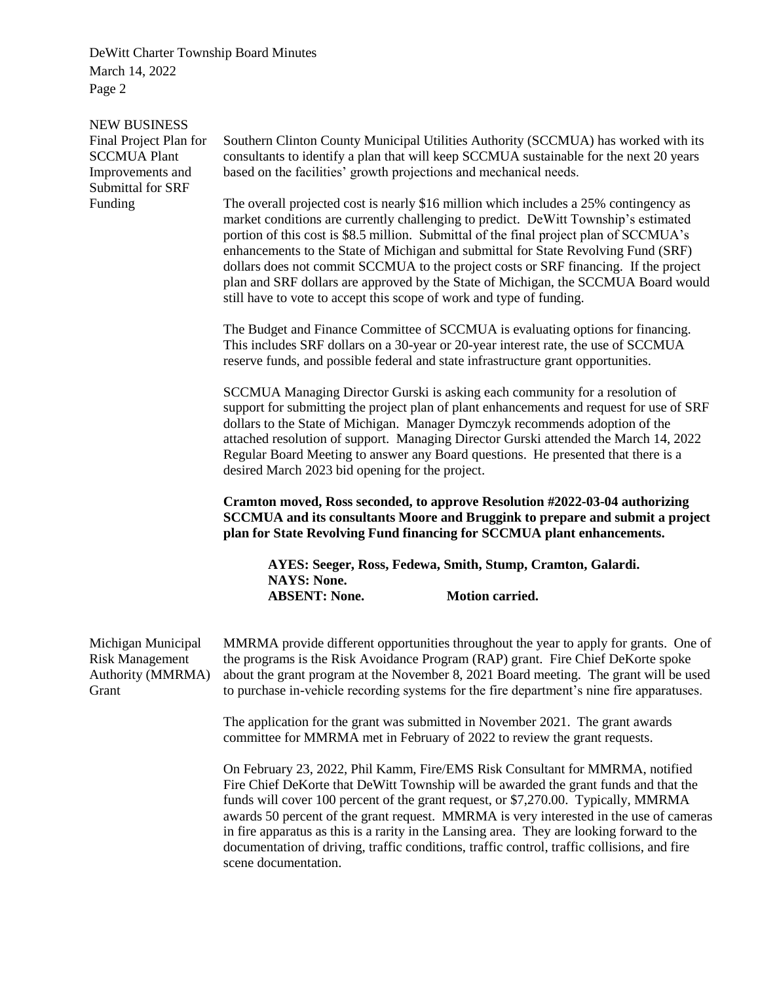NEW BUSINESS Final Project Plan for SCCMUA Plant Improvements and Submittal for SRF Funding

Southern Clinton County Municipal Utilities Authority (SCCMUA) has worked with its consultants to identify a plan that will keep SCCMUA sustainable for the next 20 years based on the facilities' growth projections and mechanical needs.

The overall projected cost is nearly \$16 million which includes a 25% contingency as market conditions are currently challenging to predict. DeWitt Township's estimated portion of this cost is \$8.5 million. Submittal of the final project plan of SCCMUA's enhancements to the State of Michigan and submittal for State Revolving Fund (SRF) dollars does not commit SCCMUA to the project costs or SRF financing. If the project plan and SRF dollars are approved by the State of Michigan, the SCCMUA Board would still have to vote to accept this scope of work and type of funding.

The Budget and Finance Committee of SCCMUA is evaluating options for financing. This includes SRF dollars on a 30-year or 20-year interest rate, the use of SCCMUA reserve funds, and possible federal and state infrastructure grant opportunities.

SCCMUA Managing Director Gurski is asking each community for a resolution of support for submitting the project plan of plant enhancements and request for use of SRF dollars to the State of Michigan. Manager Dymczyk recommends adoption of the attached resolution of support. Managing Director Gurski attended the March 14, 2022 Regular Board Meeting to answer any Board questions. He presented that there is a desired March 2023 bid opening for the project.

**Cramton moved, Ross seconded, to approve Resolution #2022-03-04 authorizing SCCMUA and its consultants Moore and Bruggink to prepare and submit a project plan for State Revolving Fund financing for SCCMUA plant enhancements.**

**AYES: Seeger, Ross, Fedewa, Smith, Stump, Cramton, Galardi. NAYS: None. ABSENT: None. Motion carried.**

| Michigan Municipal<br><b>Risk Management</b><br>Authority (MMRMA)<br>Grant | MMRMA provide different opportunities throughout the year to apply for grants. One of<br>the programs is the Risk Avoidance Program (RAP) grant. Fire Chief DeKorte spoke<br>about the grant program at the November 8, 2021 Board meeting. The grant will be used<br>to purchase in-vehicle recording systems for the fire department's nine fire apparatuses.                                                                                                                                                                                                            |
|----------------------------------------------------------------------------|----------------------------------------------------------------------------------------------------------------------------------------------------------------------------------------------------------------------------------------------------------------------------------------------------------------------------------------------------------------------------------------------------------------------------------------------------------------------------------------------------------------------------------------------------------------------------|
|                                                                            | The application for the grant was submitted in November 2021. The grant awards<br>committee for MMRMA met in February of 2022 to review the grant requests.                                                                                                                                                                                                                                                                                                                                                                                                                |
|                                                                            | On February 23, 2022, Phil Kamm, Fire/EMS Risk Consultant for MMRMA, notified<br>Fire Chief DeKorte that DeWitt Township will be awarded the grant funds and that the<br>funds will cover 100 percent of the grant request, or \$7,270.00. Typically, MMRMA<br>awards 50 percent of the grant request. MMRMA is very interested in the use of cameras<br>in fire apparatus as this is a rarity in the Lansing area. They are looking forward to the<br>documentation of driving, traffic conditions, traffic control, traffic collisions, and fire<br>scene documentation. |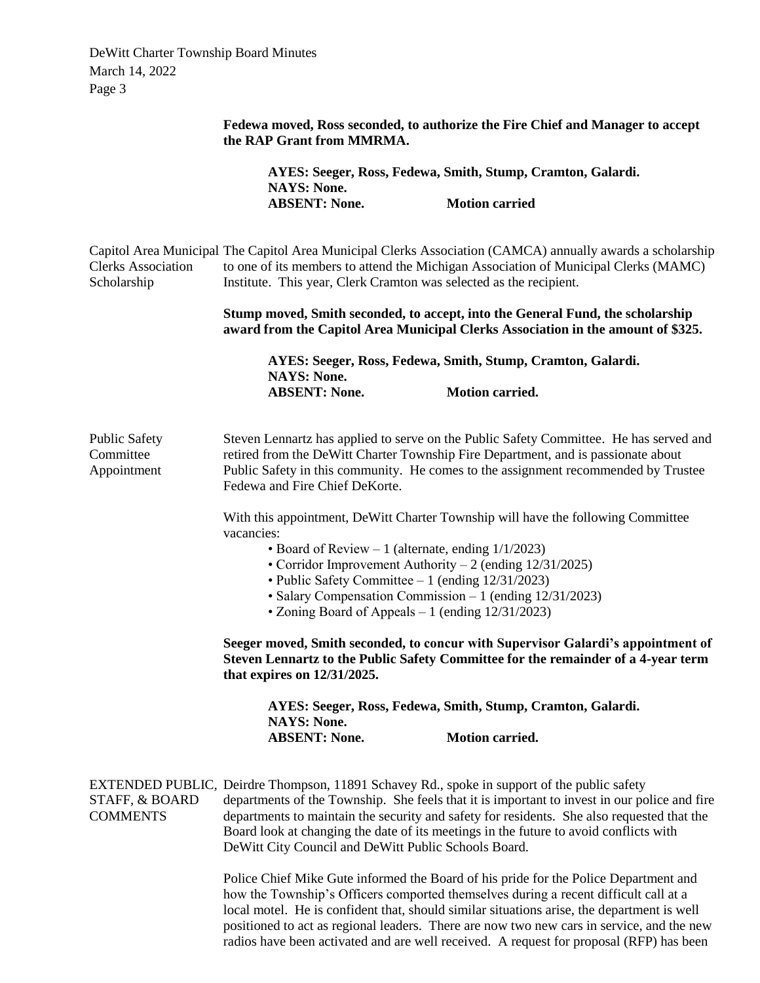|                                                  | Fedewa moved, Ross seconded, to authorize the Fire Chief and Manager to accept<br>the RAP Grant from MMRMA.                                                                                                                                                                                                                                                                                                                                |                                                                                                                                                                                                                                                                                                                                                                                                                                                                    |  |
|--------------------------------------------------|--------------------------------------------------------------------------------------------------------------------------------------------------------------------------------------------------------------------------------------------------------------------------------------------------------------------------------------------------------------------------------------------------------------------------------------------|--------------------------------------------------------------------------------------------------------------------------------------------------------------------------------------------------------------------------------------------------------------------------------------------------------------------------------------------------------------------------------------------------------------------------------------------------------------------|--|
|                                                  | AYES: Seeger, Ross, Fedewa, Smith, Stump, Cramton, Galardi.<br><b>NAYS: None.</b>                                                                                                                                                                                                                                                                                                                                                          |                                                                                                                                                                                                                                                                                                                                                                                                                                                                    |  |
|                                                  | <b>ABSENT: None.</b>                                                                                                                                                                                                                                                                                                                                                                                                                       | <b>Motion carried</b>                                                                                                                                                                                                                                                                                                                                                                                                                                              |  |
| <b>Clerks Association</b><br>Scholarship         |                                                                                                                                                                                                                                                                                                                                                                                                                                            | Capitol Area Municipal The Capitol Area Municipal Clerks Association (CAMCA) annually awards a scholarship<br>to one of its members to attend the Michigan Association of Municipal Clerks (MAMC)<br>Institute. This year, Clerk Cramton was selected as the recipient.                                                                                                                                                                                            |  |
|                                                  |                                                                                                                                                                                                                                                                                                                                                                                                                                            | Stump moved, Smith seconded, to accept, into the General Fund, the scholarship<br>award from the Capitol Area Municipal Clerks Association in the amount of \$325.                                                                                                                                                                                                                                                                                                 |  |
|                                                  |                                                                                                                                                                                                                                                                                                                                                                                                                                            | AYES: Seeger, Ross, Fedewa, Smith, Stump, Cramton, Galardi.                                                                                                                                                                                                                                                                                                                                                                                                        |  |
|                                                  | <b>NAYS: None.</b><br><b>ABSENT: None.</b>                                                                                                                                                                                                                                                                                                                                                                                                 | <b>Motion carried.</b>                                                                                                                                                                                                                                                                                                                                                                                                                                             |  |
| <b>Public Safety</b><br>Committee<br>Appointment | Steven Lennartz has applied to serve on the Public Safety Committee. He has served and<br>retired from the DeWitt Charter Township Fire Department, and is passionate about<br>Public Safety in this community. He comes to the assignment recommended by Trustee<br>Fedewa and Fire Chief DeKorte.                                                                                                                                        |                                                                                                                                                                                                                                                                                                                                                                                                                                                                    |  |
|                                                  | vacancies:                                                                                                                                                                                                                                                                                                                                                                                                                                 | With this appointment, DeWitt Charter Township will have the following Committee<br>• Board of Review $-1$ (alternate, ending $1/1/2023$ )<br>• Corridor Improvement Authority – 2 (ending $12/31/2025$ )<br>• Public Safety Committee $-1$ (ending $12/31/2023$ )<br>• Salary Compensation Commission - 1 (ending 12/31/2023)<br>• Zoning Board of Appeals $-1$ (ending $12/31/2023$ )                                                                            |  |
|                                                  | Seeger moved, Smith seconded, to concur with Supervisor Galardi's appointment of<br>Steven Lennartz to the Public Safety Committee for the remainder of a 4-year term<br>that expires on $12/31/2025$ .                                                                                                                                                                                                                                    |                                                                                                                                                                                                                                                                                                                                                                                                                                                                    |  |
|                                                  | <b>NAYS: None.</b>                                                                                                                                                                                                                                                                                                                                                                                                                         | AYES: Seeger, Ross, Fedewa, Smith, Stump, Cramton, Galardi.                                                                                                                                                                                                                                                                                                                                                                                                        |  |
|                                                  | <b>ABSENT: None.</b>                                                                                                                                                                                                                                                                                                                                                                                                                       | <b>Motion carried.</b>                                                                                                                                                                                                                                                                                                                                                                                                                                             |  |
| STAFF, & BOARD<br><b>COMMENTS</b>                | EXTENDED PUBLIC, Deirdre Thompson, 11891 Schavey Rd., spoke in support of the public safety<br>departments of the Township. She feels that it is important to invest in our police and fire<br>departments to maintain the security and safety for residents. She also requested that the<br>Board look at changing the date of its meetings in the future to avoid conflicts with<br>DeWitt City Council and DeWitt Public Schools Board. |                                                                                                                                                                                                                                                                                                                                                                                                                                                                    |  |
|                                                  |                                                                                                                                                                                                                                                                                                                                                                                                                                            | Police Chief Mike Gute informed the Board of his pride for the Police Department and<br>how the Township's Officers comported themselves during a recent difficult call at a<br>local motel. He is confident that, should similar situations arise, the department is well<br>positioned to act as regional leaders. There are now two new cars in service, and the new<br>radios have been activated and are well received. A request for proposal (RFP) has been |  |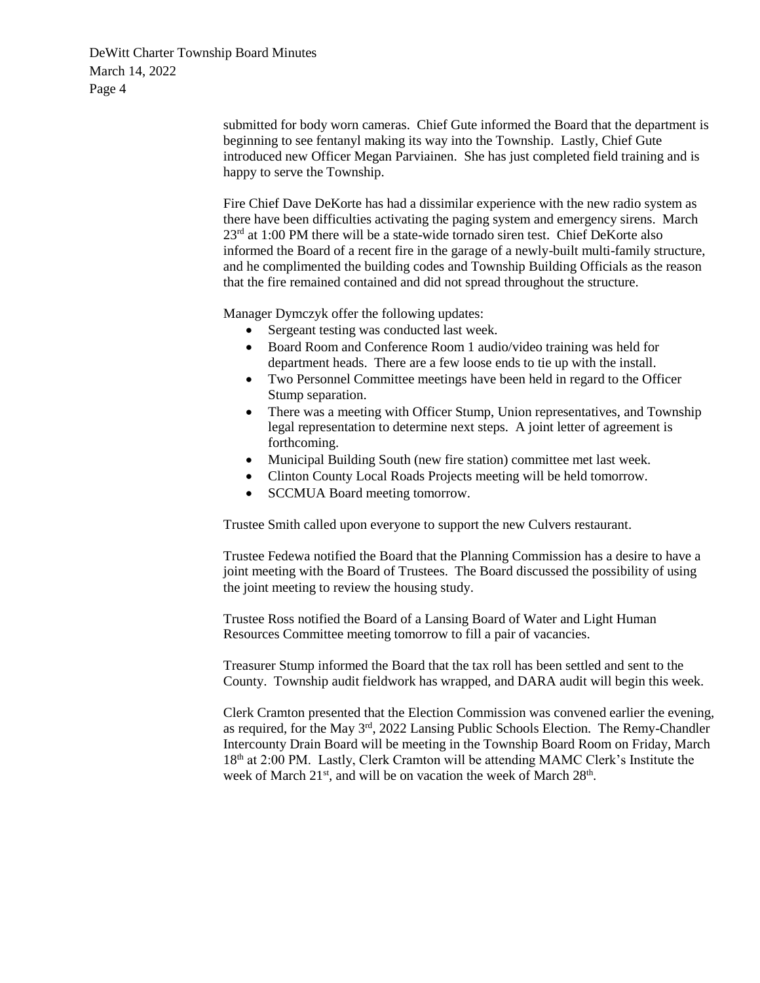> submitted for body worn cameras. Chief Gute informed the Board that the department is beginning to see fentanyl making its way into the Township. Lastly, Chief Gute introduced new Officer Megan Parviainen. She has just completed field training and is happy to serve the Township.

> Fire Chief Dave DeKorte has had a dissimilar experience with the new radio system as there have been difficulties activating the paging system and emergency sirens. March  $23<sup>rd</sup>$  at 1:00 PM there will be a state-wide tornado siren test. Chief DeKorte also informed the Board of a recent fire in the garage of a newly-built multi-family structure, and he complimented the building codes and Township Building Officials as the reason that the fire remained contained and did not spread throughout the structure.

Manager Dymczyk offer the following updates:

- Sergeant testing was conducted last week.
- Board Room and Conference Room 1 audio/video training was held for department heads. There are a few loose ends to tie up with the install.
- Two Personnel Committee meetings have been held in regard to the Officer Stump separation.
- There was a meeting with Officer Stump, Union representatives, and Township legal representation to determine next steps. A joint letter of agreement is forthcoming.
- Municipal Building South (new fire station) committee met last week.
- Clinton County Local Roads Projects meeting will be held tomorrow.
- SCCMUA Board meeting tomorrow.

Trustee Smith called upon everyone to support the new Culvers restaurant.

Trustee Fedewa notified the Board that the Planning Commission has a desire to have a joint meeting with the Board of Trustees. The Board discussed the possibility of using the joint meeting to review the housing study.

Trustee Ross notified the Board of a Lansing Board of Water and Light Human Resources Committee meeting tomorrow to fill a pair of vacancies.

Treasurer Stump informed the Board that the tax roll has been settled and sent to the County. Township audit fieldwork has wrapped, and DARA audit will begin this week.

Clerk Cramton presented that the Election Commission was convened earlier the evening, as required, for the May 3rd, 2022 Lansing Public Schools Election. The Remy-Chandler Intercounty Drain Board will be meeting in the Township Board Room on Friday, March 18th at 2:00 PM. Lastly, Clerk Cramton will be attending MAMC Clerk's Institute the week of March 21<sup>st</sup>, and will be on vacation the week of March 28<sup>th</sup>.